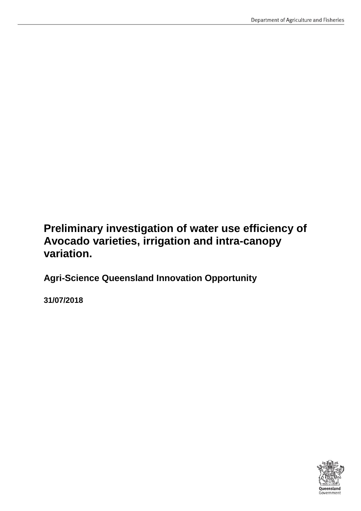# **Preliminary investigation of water use efficiency of Avocado varieties, irrigation and intra-canopy variation.**

**Agri-Science Queensland Innovation Opportunity**

**31/07/2018**

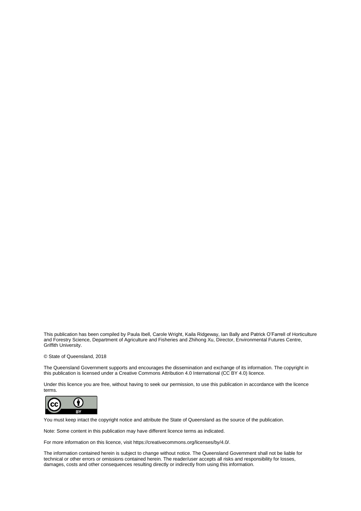This publication has been compiled by Paula Ibell, Carole Wright, Kaila Ridgeway, Ian Bally and Patrick O'Farrell of Horticulture and Forestry Science, Department of Agriculture and Fisheries and Zhihong Xu, Director, Environmental Futures Centre, Griffith University.

© State of Queensland, 2018

The Queensland Government supports and encourages the dissemination and exchange of its information. The copyright in this publication is licensed under a Creative Commons Attribution 4.0 International (CC BY 4.0) licence.

Under this licence you are free, without having to seek our permission, to use this publication in accordance with the licence terms.



You must keep intact the copyright notice and attribute the State of Queensland as the source of the publication.

Note: Some content in this publication may have different licence terms as indicated.

For more information on this licence, visit https://creativecommons.org/licenses/by/4.0/.

The information contained herein is subject to change without notice. The Queensland Government shall not be liable for technical or other errors or omissions contained herein. The reader/user accepts all risks and responsibility for losses, damages, costs and other consequences resulting directly or indirectly from using this information.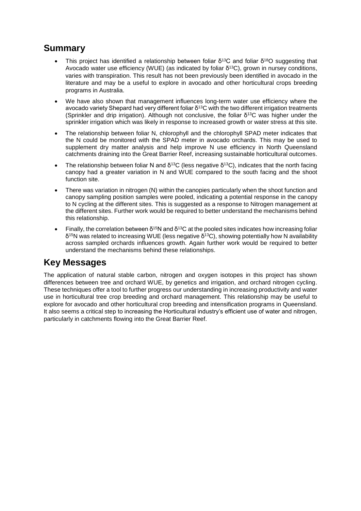# **Summary**

- This project has identified a relationship between foliar  $\delta^{13}C$  and foliar  $\delta^{18}O$  suggesting that Avocado water use efficiency (WUE) (as indicated by foliar δ<sup>13</sup>C), grown in nursey conditions, varies with transpiration. This result has not been previously been identified in avocado in the literature and may be a useful to explore in avocado and other horticultural crops breeding programs in Australia.
- We have also shown that management influences long-term water use efficiency where the avocado variety Shepard had very different foliar δ<sup>13</sup>C with the two different irrigation treatments (Sprinkler and drip irrigation). Although not conclusive, the foliar  $\delta^{13}C$  was higher under the sprinkler irrigation which was likely in response to increased growth or water stress at this site.
- The relationship between foliar N, chlorophyll and the chlorophyll SPAD meter indicates that the N could be monitored with the SPAD meter in avocado orchards. This may be used to supplement dry matter analysis and help improve N use efficiency in North Queensland catchments draining into the Great Barrier Reef, increasing sustainable horticultural outcomes.
- The relationship between foliar N and  $\delta^{13}C$  (less negative  $\delta^{13}C$ ), indicates that the north facing canopy had a greater variation in N and WUE compared to the south facing and the shoot function site.
- There was variation in nitrogen (N) within the canopies particularly when the shoot function and canopy sampling position samples were pooled, indicating a potential response in the canopy to N cycling at the different sites. This is suggested as a response to Nitrogen management at the different sites. Further work would be required to better understand the mechanisms behind this relationship.
- Finally, the correlation between δ<sup>15</sup>N and δ<sup>13</sup>C at the pooled sites indicates how increasing foliar  $\delta^{15}$ N was related to increasing WUE (less negative δ<sup>13</sup>C), showing potentially how N availability across sampled orchards influences growth. Again further work would be required to better understand the mechanisms behind these relationships.

# **Key Messages**

The application of natural stable carbon, nitrogen and oxygen isotopes in this project has shown differences between tree and orchard WUE, by genetics and irrigation, and orchard nitrogen cycling. These techniques offer a tool to further progress our understanding in increasing productivity and water use in horticultural tree crop breeding and orchard management. This relationship may be useful to explore for avocado and other horticultural crop breeding and intensification programs in Queensland. It also seems a critical step to increasing the Horticultural industry's efficient use of water and nitrogen, particularly in catchments flowing into the Great Barrier Reef.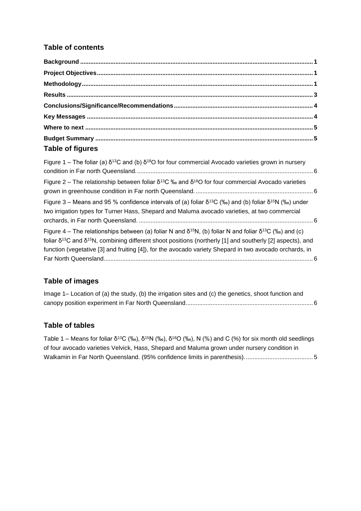### **Table of contents**

| <b>Table of figures</b> |  |
|-------------------------|--|

| Figure 1 – The foliar (a) $\delta^{13}$ C and (b) $\delta^{18}$ O for four commercial Avocado varieties grown in nursery                                                                                                                                                                                                                                               |  |
|------------------------------------------------------------------------------------------------------------------------------------------------------------------------------------------------------------------------------------------------------------------------------------------------------------------------------------------------------------------------|--|
| Figure 2 – The relationship between foliar $\delta^{13}C$ ‰ and $\delta^{18}O$ for four commercial Avocado varieties                                                                                                                                                                                                                                                   |  |
| Figure 3 – Means and 95 % confidence intervals of (a) foliar $\delta^{13}C$ (‰) and (b) foliar $\delta^{15}N$ (‰) under<br>two irrigation types for Turner Hass, Shepard and Maluma avocado varieties, at two commercial                                                                                                                                               |  |
| Figure 4 – The relationships between (a) foliar N and $\delta^{15}N$ , (b) foliar N and foliar $\delta^{13}C$ (‰) and (c)<br>foliar $\delta^{13}$ C and $\delta^{15}$ N, combining different shoot positions (northerly [1] and southerly [2] aspects), and<br>function (vegetative [3] and fruiting [4]), for the avocado variety Shepard in two avocado orchards, in |  |

### **Table of images**

| Image 1– Location of (a) the study, (b) the irrigation sites and (c) the genetics, shoot function and |  |
|-------------------------------------------------------------------------------------------------------|--|
|                                                                                                       |  |

### **Table of tables**

Table 1 – Means for foliar  $\delta^{13}C$  (‰),  $\delta^{15}N$  (‰),  $\delta^{18}O$  (‰), N (%) and C (%) for six month old seedlings [of four avocado varieties Velvick, Hass, Shepard and Maluma grown under nursery condition in](#page-8-2)  [Walkamin in Far North Queensland. \(95% confidence limits in parenthesis\).........................................](#page-8-2) 5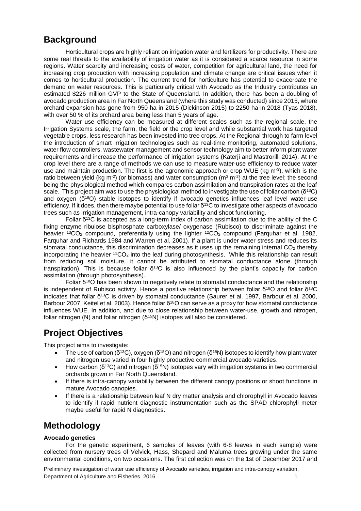## <span id="page-4-0"></span>**Background**

Horticultural crops are highly reliant on irrigation water and fertilizers for productivity. There are some real threats to the availability of irrigation water as it is considered a scarce resource in some regions. Water scarcity and increasing costs of water, competition for agricultural land, the need for increasing crop production with increasing population and climate change are critical issues when it comes to horticultural production. The current trend for horticulture has potential to exacerbate the demand on water resources. This is particularly critical with Avocado as the Industry contributes an estimated \$226 million GVP to the State of Queensland. In addition, there has been a doubling of avocado production area in Far North Queensland (where this study was conducted) since 2015, where orchard expansion has gone from 950 ha in 2015 (Dickinson 2015) to 2250 ha in 2018 (Tyas 2018), with over 50 % of its orchard area being less than 5 years of age.

Water use efficiency can be measured at different scales such as the regional scale, the Irrigation Systems scale, the farm, the field or the crop level and while substantial work has targeted vegetable crops, less research has been invested into tree crops. At the Regional through to farm level the introduction of smart irrigation technologies such as real-time monitoring, automated solutions, water flow controllers, wastewater management and sensor technology aim to better inform plant water requirements and increase the performance of irrigation systems (Katerji and Mastrorilli 2014). At the crop level there are a range of methods we can use to measure water-use efficiency to reduce water use and maintain production. The first is the agronomic approach or crop WUE ( $kg$  m<sup>-3</sup>), which is the ratio between yield (kg m<sup>-2</sup>) (or biomass) and water consumption (m<sup>3</sup> m<sup>-2</sup>) at the tree level; the second being the physiological method which compares carbon assimilation and transpiration rates at the leaf scale. This project aim was to use the physiological method to investigate the use of foliar carbon ( $\delta^{13}C$ ) and oxygen (δ<sup>18</sup>O) stable isotopes to identify if avocado genetics influences leaf level water-use efficiency. If it does, then there maybe potential to use foliar  $\delta^{13}$ C to investigate other aspects of avocado trees such as irrigation management, intra-canopy variability and shoot functioning.

Foliar  $\delta^{13}$ C is accepted as a long-term index of carbon assimilation due to the ability of the C fixing enzyme ribulose bisphosphate carboxylase/ oxygenase (Rubisco) to discriminate against the heavier  $^{13}CO<sub>2</sub>$  compound, preferentially using the lighter  $^{12}CO<sub>2</sub>$  compound (Farguhar et al. 1982, Farquhar and Richards 1984 and Warren et al. 2001). If a plant is under water stress and reduces its stomatal conductance, this discrimination decreases as it uses up the remaining internal  $CO<sub>2</sub>$  thereby incorporating the heavier  ${}^{13}CO_2$  into the leaf during photosynthesis. While this relationship can result from reducing soil moisture, it cannot be attributed to stomatal conductance alone (through transpiration). This is because foliar  $δ<sup>13</sup>C$  is also influenced by the plant's capacity for carbon assimilation (through photosynthesis).

Foliar  $\delta^{18}$ O has been shown to negatively relate to stomatal conductance and the relationship is independent of Rubisco activity. Hence a positive relationship between foliar  $\delta^{18}O$  and foliar  $\delta^{13}O$ indicates that foliar δ<sup>13</sup>C is driven by stomatal conductance (Saurer et al. 1997, Barbour et al. 2000, Barbour 2007, Keitel et al. 2003). Hence foliar δ<sup>18</sup>O can serve as a proxy for how stomatal conductance influences WUE. In addition, and due to close relationship between water-use, growth and nitrogen, foliar nitrogen (N) and foliar nitrogen ( $\delta^{15}$ N) isotopes will also be considered.

# <span id="page-4-1"></span>**Project Objectives**

This project aims to investigate:

- The use of carbon ( $\delta^{13}C$ ), oxygen ( $\delta^{18}O$ ) and nitrogen ( $\delta^{15}N$ ) isotopes to identify how plant water and nitrogen use varied in four highly productive commercial avocado varieties.
- $\bullet$  How carbon (δ<sup>13</sup>C) and nitrogen (δ<sup>15</sup>N) isotopes vary with irrigation systems in two commercial orchards grown in Far North Queensland.
- If there is intra-canopy variability between the different canopy positions or shoot functions in mature Avocado canopies.
- If there is a relationship between leaf N dry matter analysis and chlorophyll in Avocado leaves to identify if rapid nutrient diagnostic instrumentation such as the SPAD chlorophyll meter maybe useful for rapid N diagnostics.

### <span id="page-4-2"></span>**Methodology**

#### **Avocado genetics**

For the genetic experiment, 6 samples of leaves (with 6-8 leaves in each sample) were collected from nursery trees of Velvick, Hass, Shepard and Maluma trees growing under the same environmental conditions, on two occasions. The first collection was on the 1st of December 2017 and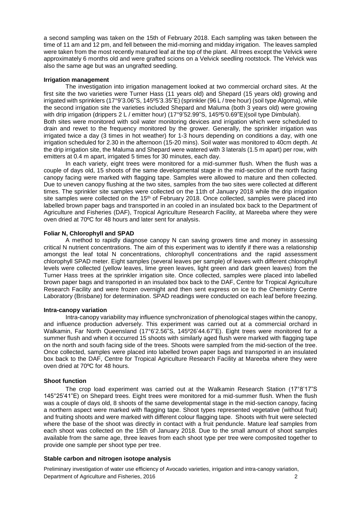a second sampling was taken on the 15th of February 2018. Each sampling was taken between the time of 11 am and 12 pm, and fell between the mid-morning and midday irrigation. The leaves sampled were taken from the most recently matured leaf at the top of the plant. All trees except the Velvick were approximately 6 months old and were grafted scions on a Velvick seedling rootstock. The Velvick was also the same age but was an ungrafted seedling.

#### **Irrigation management**

The investigation into irrigation management looked at two commercial orchard sites. At the first site the two varieties were Turner Hass (11 years old) and Shepard (15 years old) growing and irrigated with sprinklers (17°9'3.06"S, 145º5'3.35"E) (sprinkler (96 L / tree hour) (soil type Algoma), while the second irrigation site the varieties included Shepard and Maluma (both 3 years old) were growing with drip irrigation (drippers 2 L / emitter hour) (17°9'52.99"S, 145°5'0.69"E)(soil type Dimbulah). Both sites were monitored with soil water monitoring devices and irrigation which were scheduled to drain and rewet to the frequency monitored by the grower. Generally, the sprinkler irrigation was irrigated twice a day (3 times in hot weather) for 1-3 hours depending on conditions a day, with one irrigation scheduled for 2.30 in the afternoon (15-20 mins). Soil water was monitored to 40cm depth. At the drip irrigation site, the Maluma and Shepard were watered with 3 laterals (1.5 m apart) per row, with emitters at 0.4 m apart, irrigated 5 times for 30 minutes, each day.

In each variety, eight trees were monitored for a mid-summer flush. When the flush was a couple of days old, 15 shoots of the same developmental stage in the mid-section of the north facing canopy facing were marked with flagging tape. Samples were allowed to mature and then collected. Due to uneven canopy flushing at the two sites, samples from the two sites were collected at different times. The sprinkler site samples were collected on the 11th of January 2018 while the drip irrigation site samples were collected on the 15<sup>th</sup> of February 2018. Once collected, samples were placed into labelled brown paper bags and transported in an cooled in an insulated box back to the Department of Agriculture and Fisheries (DAF), Tropical Agriculture Research Facility, at Mareeba where they were oven dried at 70ºC for 48 hours and later sent for analysis.

#### **Foliar N, Chlorophyll and SPAD**

A method to rapidly diagnose canopy N can saving growers time and money in assessing critical N nutrient concentrations. The aim of this experiment was to identify if there was a relationship amongst the leaf total N concentrations, chlorophyll concentrations and the rapid assessment chlorophyll SPAD meter. Eight samples (several leaves per sample) of leaves with different chlorophyll levels were collected (yellow leaves, lime green leaves, light green and dark green leaves) from the Turner Hass trees at the sprinkler irrigation site. Once collected, samples were placed into labelled brown paper bags and transported in an insulated box back to the DAF, Centre for Tropical Agriculture Research Facility and were frozen overnight and then sent express on ice to the Chemistry Centre Laboratory (Brisbane) for determination. SPAD readings were conducted on each leaf before freezing.

#### **Intra-canopy variation**

Intra-canopy variability may influence synchronization of phenological stages within the canopy, and influence production adversely. This experiment was carried out at a commercial orchard in Walkamin, Far North Queensland (17°6'2.56"S, 145º26'44.67"E). Eight trees were monitored for a summer flush and when it occurred 15 shoots with similarly aged flush were marked with flagging tape on the north and south facing side of the trees. Shoots were sampled from the mid-section of the tree. Once collected, samples were placed into labelled brown paper bags and transported in an insulated box back to the DAF, Centre for Tropical Agriculture Research Facility at Mareeba where they were oven dried at 70ºC for 48 hours.

#### **Shoot function**

The crop load experiment was carried out at the Walkamin Research Station (17°8'17"S 145°25'41"E) on Shepard trees. Eight trees were monitored for a mid-summer flush. When the flush was a couple of days old, 8 shoots of the same developmental stage in the mid-section canopy, facing a northern aspect were marked with flagging tape. Shoot types represented vegetative (without fruit) and fruiting shoots and were marked with different colour flagging tape. Shoots with fruit were selected where the base of the shoot was directly in contact with a fruit penduncle. Mature leaf samples from each shoot was collected on the 15th of January 2018. Due to the small amount of shoot samples available from the same age, three leaves from each shoot type per tree were composited together to provide one sample per shoot type per tree.

#### **Stable carbon and nitrogen isotope analysis**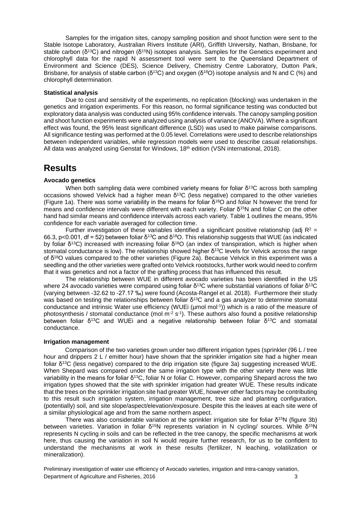Samples for the irrigation sites, canopy sampling position and shoot function were sent to the Stable Isotope Laboratory, Australian Rivers Institute (ARI), Griffith University, Nathan, Brisbane, for stable carbon ( $\delta^{13}C$ ) and nitrogen ( $\delta^{15}N$ ) isotopes analysis. Samples for the Genetics experiment and chlorophyll data for the rapid N assessment tool were sent to the Queensland Department of Environment and Science (DES), Science Delivery, Chemistry Centre Laboratory, Dutton Park, Brisbane, for analysis of stable carbon ( $\delta^{13}$ C) and oxygen ( $\delta^{18}$ O) isotope analysis and N and C (%) and chlorophyll determination.

#### **Statistical analysis**

Due to cost and sensitivity of the experiments, no replication (blocking) was undertaken in the genetics and irrigation experiments. For this reason, no formal significance testing was conducted but exploratory data analysis was conducted using 95% confidence intervals. The canopy sampling position and shoot function experiments were analyzed using analysis of variance (ANOVA). Where a significant effect was found, the 95% least significant difference (LSD) was used to make pairwise comparisons. All significance testing was performed at the 0.05 level. Correlations were used to describe relationships between independent variables, while regression models were used to describe casual relationships. All data was analyzed using Genstat for Windows, 18<sup>th</sup> edition (VSN international, 2018).

### <span id="page-6-0"></span>**Results**

#### **Avocado genetics**

When both sampling data were combined variety means for foliar δ<sup>13</sup>C across both sampling occasions showed Velvick had a higher mean δ<sup>13</sup>C (less negative) compared to the other varieties (Figure 1a). There was some variability in the means for foliar  $\delta^{18}$ O and foliar N however the trend for means and confidence intervals were different with each variety. Foliar δ<sup>15</sup>N and foliar C on the other hand had similar means and confidence intervals across each variety. Table 1 outlines the means, 95% confidence for each variable averaged for collection time.

Further investigation of these variables identified a significant positive relationship (adj  $R^2$  = 66.3, p<0.001, df = 52) between foliar  $\delta^{13}$ C and  $\delta^{18}$ O. This relationship suggests that WUE (as indicated by foliar δ<sup>13</sup>C) increased with increasing foliar δ<sup>18</sup>O (an index of transpiration, which is higher when stomatal conductance is low). The relationship showed higher  $\delta^{13}$ C levels for Velvick across the range of δ<sup>18</sup>O values compared to the other varieties (Figure 2a). Because Velvick in this experiment was a seedling and the other varieties were grafted onto Velvick rootstocks, further work would need to confirm that it was genetics and not a factor of the grafting process that has influenced this result.

The relationship between WUE in different avocado varieties has been identified in the US where 24 avocado varieties were compared using foliar δ<sup>13</sup>C where substantial variations of foliar δ<sup>13</sup>C (varying between -32.62 to -27.17 ‰) were found (Acosta-Rangel et al. 2018). Furthermore their study was based on testing the relationships between foliar  $\delta^{13}C$  and a gas analyzer to determine stomatal conductance and intrinsic Water use efficiency (WUEi (µmol mol-1 )) which is a ratio of the measure of photosynthesis / stomatal conductance (mol m<sup>-2</sup> s<sup>-1</sup>). These authors also found a positive relationship between foliar  $\delta^{13}C$  and WUEi and a negative relationship between foliar  $\delta^{13}C$  and stomatal conductance.

#### **Irrigation management**

Comparison of the two varieties grown under two different irrigation types (sprinkler (96 L / tree hour and drippers 2 L / emitter hour) have shown that the sprinkler irrigation site had a higher mean foliar δ <sup>13</sup>C (less negative) compared to the drip irrigation site (figure 3a) suggesting increased WUE. When Shepard was compared under the same irrigation type with the other variety there was little variability in the means for foliar δ<sup>13</sup>C, foliar N or foliar C. However, comparing Shepard across the two irrigation types showed that the site with sprinkler irrigation had greater WUE. These results indicate that the trees on the sprinkler irrigation site had greater WUE, however other factors may be contributing to this result such irrigation system, irrigation management, tree size and planting configuration, (potentially) soil, and site slope/aspect/elevation/exposure. Despite this the leaves at each site were of a similar physiological age and from the same northern aspect.

There was also considerable variation at the sprinkler irrigation site for foliar  $\delta^{15}N$  (figure 3b) between varieties. Variation in foliar δ<sup>15</sup>N represents variation in N cycling/ sources. While δ<sup>15</sup>N represents N cycling in soils and can be reflected in the tree canopy, the specific mechanisms at work here, thus causing the variation in soil N would require further research, for us to be confident to understand the mechanisms at work in these results (fertilizer, N leaching, volatilization or mineralization).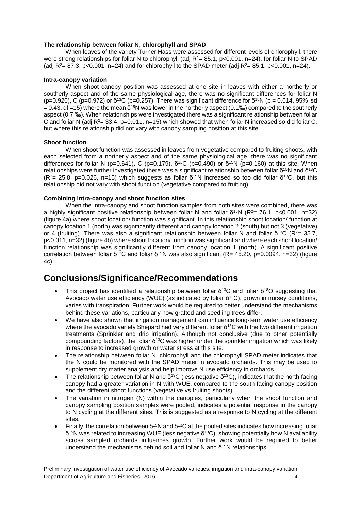#### **The relationship between foliar N, chlorophyll and SPAD**

When leaves of the variety Turner Hass were assessed for different levels of chlorophyll, there were strong relationships for foliar N to chlorophyll (adj  $R^2 = 85.1$ , p<0.001, n=24), for foliar N to SPAD (adj  $R^2 = 87.3$ , p<0.001, n=24) and for chlorophyll to the SPAD meter (adj  $R^2 = 85.1$ , p<0.001, n=24).

#### **Intra-canopy variation**

When shoot canopy position was assessed at one site in leaves with either a northerly or southerly aspect and of the same physiological age, there was no significant differences for foliar N (p=0.920), C (p=0.972) or  $\delta^{13}C$  (p=0.257). There was significant difference for  $\delta^{15}N$  (p = 0.014, 95% lsd = 0.43, df =15) where the mean δ<sup>15</sup>N was lower in the northerly aspect (0.1‰) compared to the southerly aspect (0.7 ‰). When relationships were investigated there was a significant relationship between foliar C and foliar N (adj  $R^2 = 33.4$ , p=0.011, n=15) which showed that when foliar N increased so did foliar C, but where this relationship did not vary with canopy sampling position at this site.

#### **Shoot function**

When shoot function was assessed in leaves from vegetative compared to fruiting shoots, with each selected from a northerly aspect and of the same physiological age, there was no significant differences for foliar N (p=0.641), C (p=0.179), δ<sup>13</sup>C (p=0.490) or δ<sup>15</sup>N (p=0.160) at this site. When relationships were further investigated there was a significant relationship between foliar δ<sup>15</sup>N and δ<sup>13</sup>C  $(R<sup>2</sup>= 25.8, p=0.026, n=15)$  which suggests as foliar δ<sup>15</sup>N increased so too did foliar δ<sup>13</sup>C, but this relationship did not vary with shoot function (vegetative compared to fruiting).

#### **Combining intra-canopy and shoot function sites**

When the intra-canopy and shoot function samples from both sites were combined, there was a highly significant positive relationship between foliar N and foliar δ<sup>15</sup>N (R<sup>2</sup>= 76.1, p<0.001, n=32) (figure 4a) where shoot location/ function was significant. In this relationship shoot location/ function at canopy location 1 (north) was significantly different and canopy location 2 (south) but not 3 (vegetative) or 4 (fruiting). There was also a significant relationship between foliar N and foliar  $\delta^{13}C$  (R<sup>2</sup>= 35.7, p<0.011, n=32) (figure 4b) where shoot location/ function was significant and where each shoot location/ function relationship was significantly different from canopy location 1 (north). A significant positive correlation between foliar δ<sup>13</sup>C and foliar δ<sup>15</sup>N was also significant (R= 45.20, p=0.0094, n=32) (figure 4c).

### <span id="page-7-0"></span>**Conclusions/Significance/Recommendations**

- <span id="page-7-1"></span>This project has identified a relationship between foliar  $\delta^{13}C$  and foliar  $\delta^{18}O$  suggesting that Avocado water use efficiency (WUE) (as indicated by foliar δ<sup>13</sup>C), grown in nursey conditions, varies with transpiration. Further work would be required to better understand the mechanisms behind these variations, particularly how grafted and seedling trees differ.
- We have also shown that irrigation management can influence long-term water use efficiency where the avocado variety Shepard had very different foliar  $\delta^{13}$ C with the two different irrigation treatments (Sprinkler and drip irrigation). Although not conclusive (due to other potentially compounding factors), the foliar δ<sup>13</sup>C was higher under the sprinkler irrigation which was likely in response to increased growth or water stress at this site.
- The relationship between foliar N, chlorophyll and the chlorophyll SPAD meter indicates that the N could be monitored with the SPAD meter in avocado orchards. This may be used to supplement dry matter analysis and help improve N use efficiency in orchards.
- The relationship between foliar N and  $\delta^{13}C$  (less negative  $\delta^{13}C$ ), indicates that the north facing canopy had a greater variation in N with WUE, compared to the south facing canopy position and the different shoot functions (vegetative vs fruiting shoots).
- The variation in nitrogen (N) within the canopies, particularly when the shoot function and canopy sampling position samples were pooled, indicates a potential response in the canopy to N cycling at the different sites. This is suggested as a response to N cycling at the different sites.
- Finally, the correlation between  $\delta^{15}N$  and  $\delta^{13}C$  at the pooled sites indicates how increasing foliar  $\delta^{15}$ N was related to increasing WUE (less negative δ<sup>13</sup>C), showing potentially how N availability across sampled orchards influences growth. Further work would be required to better understand the mechanisms behind soil and foliar N and  $\delta^{15}N$  relationships.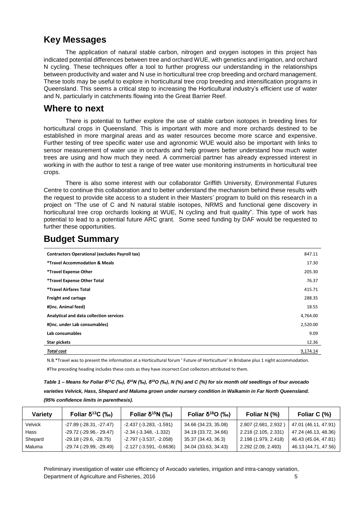### **Key Messages**

<span id="page-8-0"></span>The application of natural stable carbon, nitrogen and oxygen isotopes in this project has indicated potential differences between tree and orchard WUE, with genetics and irrigation, and orchard N cycling. These techniques offer a tool to further progress our understanding in the relationships between productivity and water and N use in horticultural tree crop breeding and orchard management. These tools may be useful to explore in horticultural tree crop breeding and intensification programs in Queensland. This seems a critical step to increasing the Horticultural industry's efficient use of water and N, particularly in catchments flowing into the Great Barrier Reef.

### **Where to next**

There is potential to further explore the use of stable carbon isotopes in breeding lines for horticultural crops in Queensland. This is important with more and more orchards destined to be established in more marginal areas and as water resources become more scarce and expensive. Further testing of tree specific water use and agronomic WUE would also be important with links to sensor measurement of water use in orchards and help growers better understand how much water trees are using and how much they need. A commercial partner has already expressed interest in working in with the author to test a range of tree water use monitoring instruments in horticultural tree crops.

There is also some interest with our collaborator Griffith University, Environmental Futures Centre to continue this collaboration and to better understand the mechanism behind these results with the request to provide site access to a student in their Masters' program to build on this research in a project on "The use of C and N natural stable isotopes, NRMS and functional gene discovery in horticultural tree crop orchards looking at WUE, N cycling and fruit quality". This type of work has potential to lead to a potential future ARC grant. Some seed funding by DAF would be requested to further these opportunities.

| <b>Contractors Operational (excludes Payroll tax)</b> | 847.11   |
|-------------------------------------------------------|----------|
| <i>*Travel Accommodation &amp; Meals</i>              | 17.30    |
| *Travel Expense Other                                 | 205.30   |
| *Travel Expense Other Total                           | 76.37    |
| *Travel Airfares Total                                | 415.71   |
| Freight and cartage                                   | 288.35   |
| #(inc. Animal feed)                                   | 18.55    |
| Analytical and data collection services               | 4,764.00 |
| #(inc. under Lab consumables)                         | 2,520.00 |
| Lab consumables                                       | 9.09     |
| <b>Star pickets</b>                                   | 12.36    |
| Total cost                                            | 9,174.14 |

# <span id="page-8-1"></span>**Budget Summary**

N.B.\*Travel was to present the information at a Horticultural forum ' Future of Horticulture' in Brisbane plus 1 night accommodation.

#The preceding heading includes these costs as they have incorrect Cost collectors attributed to them.

<span id="page-8-2"></span>

| Table 1 – Means for Foliar $\delta^{13}C$ (‰), $\delta^{15}N$ (‰), $\delta^{18}O$ (‰), N (%) and C (%) for six month old seedlings of four avocado |
|----------------------------------------------------------------------------------------------------------------------------------------------------|
| varieties Velvick, Hass, Shepard and Maluma grown under nursery condition in Walkamin in Far North Queensland.                                     |
| (95% confidence limits in parenthesis).                                                                                                            |

| Variety | Foliar $\delta^{13}C$ (‰)        | Foliar $\delta^{15}N$ (‰)       | Foliar δ <sup>18</sup> O (‰) | Foliar N (%)         | Foliar C (%)         |
|---------|----------------------------------|---------------------------------|------------------------------|----------------------|----------------------|
| Velvick | $-27.89$ ( $-28.31$ , $-27.47$ ) | $-2.437(-3.283,-1.591)$         | 34.66 (34.23, 35.08)         | 2.807 (2.681, 2.932) | 47.01 (46.11, 47.91) |
| Hass    | $-29.72$ (-29.96,-29.47)         | $-2.34$ ( $-3.348$ , $-1.332$ ) | 34.19 (33.72, 34.66)         | 2.218 (2.105, 2.331) | 47.24 (46.13, 48.36) |
| Shepard | $-29.18(-29.6, -28.75)$          | $-2.797(-3.537, -2.058)$        | 35.37 (34.43, 36.3)          | 2.198 (1.979, 2.418) | 46.43 (45.04, 47.81) |
| Maluma  | $-29.74$ ( $-29.99$ , $-29.49$ ) | $-2.127(-3.591,-0.6636)$        | 34.04 (33.63, 34.43)         | 2.292 (2.09, 2.493)  | 46.13 (44.71, 47.56) |